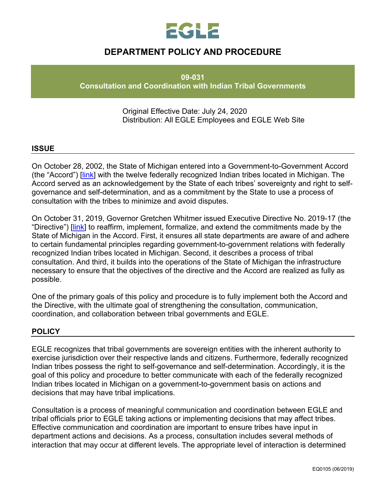

# **DEPARTMENT POLICY AND PROCEDURE**

**09-031**

**Consultation and Coordination with Indian Tribal Governments**

Original Effective Date: July 24, 2020 Distribution: All EGLE Employees and EGLE Web Site

#### **ISSUE**

On October 28, 2002, the State of Michigan entered into a Government-to-Government Accord (the "Accord") [\[link\]](https://www.michigan.gov/documents/Accordfinal_53478_7.pdf) with the twelve federally recognized Indian tribes located in Michigan. The Accord served as an acknowledgement by the State of each tribes' sovereignty and right to selfgovernance and self-determination, and as a commitment by the State to use a process of consultation with the tribes to minimize and avoid disputes.

On October 31, 2019, Governor Gretchen Whitmer issued Executive Directive No. 2019-17 (the "Directive") [\[link\]](https://www.michigan.gov/whitmer/0,9309,7-387-90499_90704-520036--,00.html) to reaffirm, implement, formalize, and extend the commitments made by the State of Michigan in the Accord. First, it ensures all state departments are aware of and adhere to certain fundamental principles regarding government-to-government relations with federally recognized Indian tribes located in Michigan. Second, it describes a process of tribal consultation. And third, it builds into the operations of the State of Michigan the infrastructure necessary to ensure that the objectives of the directive and the Accord are realized as fully as possible.

One of the primary goals of this policy and procedure is to fully implement both the Accord and the Directive, with the ultimate goal of strengthening the consultation, communication, coordination, and collaboration between tribal governments and EGLE.

#### **POLICY**

EGLE recognizes that tribal governments are sovereign entities with the inherent authority to exercise jurisdiction over their respective lands and citizens. Furthermore, federally recognized Indian tribes possess the right to self-governance and self-determination. Accordingly, it is the goal of this policy and procedure to better communicate with each of the federally recognized Indian tribes located in Michigan on a government-to-government basis on actions and decisions that may have tribal implications.

Consultation is a process of meaningful communication and coordination between EGLE and tribal officials prior to EGLE taking actions or implementing decisions that may affect tribes. Effective communication and coordination are important to ensure tribes have input in department actions and decisions. As a process, consultation includes several methods of interaction that may occur at different levels. The appropriate level of interaction is determined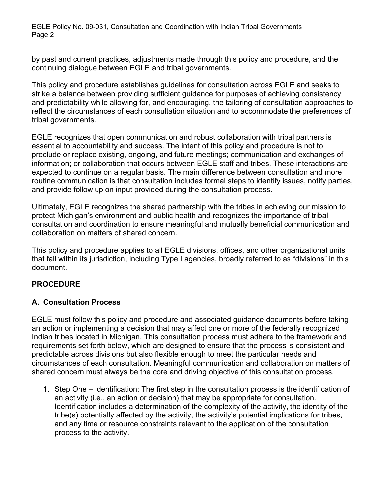by past and current practices, adjustments made through this policy and procedure, and the continuing dialogue between EGLE and tribal governments.

This policy and procedure establishes guidelines for consultation across EGLE and seeks to strike a balance between providing sufficient guidance for purposes of achieving consistency and predictability while allowing for, and encouraging, the tailoring of consultation approaches to reflect the circumstances of each consultation situation and to accommodate the preferences of tribal governments.

EGLE recognizes that open communication and robust collaboration with tribal partners is essential to accountability and success. The intent of this policy and procedure is not to preclude or replace existing, ongoing, and future meetings; communication and exchanges of information; or collaboration that occurs between EGLE staff and tribes. These interactions are expected to continue on a regular basis. The main difference between consultation and more routine communication is that consultation includes formal steps to identify issues, notify parties, and provide follow up on input provided during the consultation process.

Ultimately, EGLE recognizes the shared partnership with the tribes in achieving our mission to protect Michigan's environment and public health and recognizes the importance of tribal consultation and coordination to ensure meaningful and mutually beneficial communication and collaboration on matters of shared concern.

This policy and procedure applies to all EGLE divisions, offices, and other organizational units that fall within its jurisdiction, including Type I agencies, broadly referred to as "divisions" in this document.

# **PROCEDURE**

#### **A. Consultation Process**

EGLE must follow this policy and procedure and associated guidance documents before taking an action or implementing a decision that may affect one or more of the federally recognized Indian tribes located in Michigan. This consultation process must adhere to the framework and requirements set forth below, which are designed to ensure that the process is consistent and predictable across divisions but also flexible enough to meet the particular needs and circumstances of each consultation. Meaningful communication and collaboration on matters of shared concern must always be the core and driving objective of this consultation process.

1. Step One – Identification: The first step in the consultation process is the identification of an activity (i.e., an action or decision) that may be appropriate for consultation. Identification includes a determination of the complexity of the activity, the identity of the tribe(s) potentially affected by the activity, the activity's potential implications for tribes, and any time or resource constraints relevant to the application of the consultation process to the activity.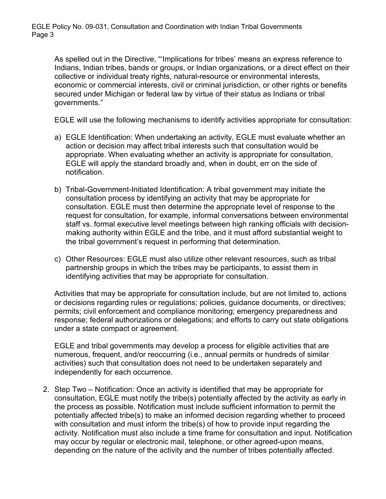As spelled out in the Directive, "'Implications for tribes' means an express reference to Indians, Indian tribes, bands or groups, or Indian organizations, or a direct effect on their collective or individual treaty rights, natural-resource or environmental interests, economic or commercial interests, civil or criminal jurisdiction, or other rights or benefits secured under Michigan or federal law by virtue of their status as Indians or tribal governments."

EGLE will use the following mechanisms to identify activities appropriate for consultation:

- a) EGLE Identification: When undertaking an activity, EGLE must evaluate whether an action or decision may affect tribal interests such that consultation would be appropriate. When evaluating whether an activity is appropriate for consultation, EGLE will apply the standard broadly and, when in doubt, err on the side of notification.
- b) Tribal-Government-Initiated Identification: A tribal government may initiate the consultation process by identifying an activity that may be appropriate for consultation. EGLE must then determine the appropriate level of response to the request for consultation, for example, informal conversations between environmental staff vs. formal executive level meetings between high ranking officials with decisionmaking authority within EGLE and the tribe, and it must afford substantial weight to the tribal government's request in performing that determination.
- c) Other Resources: EGLE must also utilize other relevant resources, such as tribal partnership groups in which the tribes may be participants, to assist them in identifying activities that may be appropriate for consultation.

Activities that may be appropriate for consultation include, but are not limited to, actions or decisions regarding rules or regulations; policies, guidance documents, or directives; permits; civil enforcement and compliance monitoring; emergency preparedness and response; federal authorizations or delegations; and efforts to carry out state obligations under a state compact or agreement.

EGLE and tribal governments may develop a process for eligible activities that are numerous, frequent, and/or reoccurring (i.e., annual permits or hundreds of similar activities) such that consultation does not need to be undertaken separately and independently for each occurrence.

2. Step Two – Notification: Once an activity is identified that may be appropriate for consultation, EGLE must notify the tribe(s) potentially affected by the activity as early in the process as possible. Notification must include sufficient information to permit the potentially affected tribe(s) to make an informed decision regarding whether to proceed with consultation and must inform the tribe(s) of how to provide input regarding the activity. Notification must also include a time frame for consultation and input. Notification may occur by regular or electronic mail, telephone, or other agreed-upon means, depending on the nature of the activity and the number of tribes potentially affected.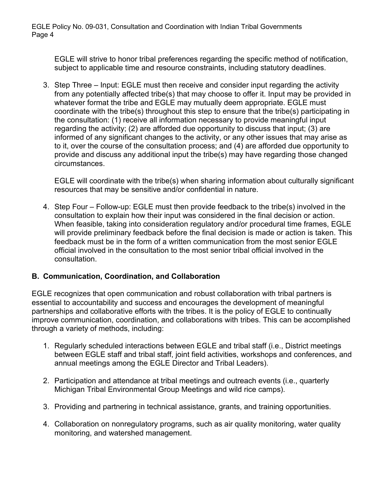EGLE will strive to honor tribal preferences regarding the specific method of notification, subject to applicable time and resource constraints, including statutory deadlines.

3. Step Three – Input: EGLE must then receive and consider input regarding the activity from any potentially affected tribe(s) that may choose to offer it. Input may be provided in whatever format the tribe and EGLE may mutually deem appropriate. EGLE must coordinate with the tribe(s) throughout this step to ensure that the tribe(s) participating in the consultation: (1) receive all information necessary to provide meaningful input regarding the activity; (2) are afforded due opportunity to discuss that input; (3) are informed of any significant changes to the activity, or any other issues that may arise as to it, over the course of the consultation process; and (4) are afforded due opportunity to provide and discuss any additional input the tribe(s) may have regarding those changed circumstances.

EGLE will coordinate with the tribe(s) when sharing information about culturally significant resources that may be sensitive and/or confidential in nature.

4. Step Four – Follow-up: EGLE must then provide feedback to the tribe(s) involved in the consultation to explain how their input was considered in the final decision or action. When feasible, taking into consideration regulatory and/or procedural time frames, EGLE will provide preliminary feedback before the final decision is made or action is taken. This feedback must be in the form of a written communication from the most senior EGLE official involved in the consultation to the most senior tribal official involved in the consultation.

## **B. Communication, Coordination, and Collaboration**

EGLE recognizes that open communication and robust collaboration with tribal partners is essential to accountability and success and encourages the development of meaningful partnerships and collaborative efforts with the tribes. It is the policy of EGLE to continually improve communication, coordination, and collaborations with tribes. This can be accomplished through a variety of methods, including:

- 1. Regularly scheduled interactions between EGLE and tribal staff (i.e., District meetings between EGLE staff and tribal staff, joint field activities, workshops and conferences, and annual meetings among the EGLE Director and Tribal Leaders).
- 2. Participation and attendance at tribal meetings and outreach events (i.e., quarterly Michigan Tribal Environmental Group Meetings and wild rice camps).
- 3. Providing and partnering in technical assistance, grants, and training opportunities.
- 4. Collaboration on nonregulatory programs, such as air quality monitoring, water quality monitoring, and watershed management.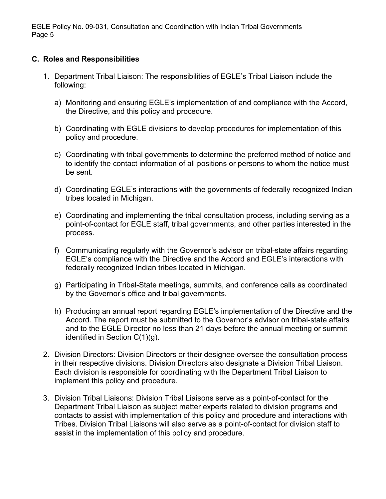## **C. Roles and Responsibilities**

- 1. Department Tribal Liaison: The responsibilities of EGLE's Tribal Liaison include the following:
	- a) Monitoring and ensuring EGLE's implementation of and compliance with the Accord, the Directive, and this policy and procedure.
	- b) Coordinating with EGLE divisions to develop procedures for implementation of this policy and procedure.
	- c) Coordinating with tribal governments to determine the preferred method of notice and to identify the contact information of all positions or persons to whom the notice must be sent.
	- d) Coordinating EGLE's interactions with the governments of federally recognized Indian tribes located in Michigan.
	- e) Coordinating and implementing the tribal consultation process, including serving as a point-of-contact for EGLE staff, tribal governments, and other parties interested in the process.
	- f) Communicating regularly with the Governor's advisor on tribal-state affairs regarding EGLE's compliance with the Directive and the Accord and EGLE's interactions with federally recognized Indian tribes located in Michigan.
	- g) Participating in Tribal-State meetings, summits, and conference calls as coordinated by the Governor's office and tribal governments.
	- h) Producing an annual report regarding EGLE's implementation of the Directive and the Accord. The report must be submitted to the Governor's advisor on tribal-state affairs and to the EGLE Director no less than 21 days before the annual meeting or summit identified in Section C(1)(g).
- 2. Division Directors: Division Directors or their designee oversee the consultation process in their respective divisions. Division Directors also designate a Division Tribal Liaison. Each division is responsible for coordinating with the Department Tribal Liaison to implement this policy and procedure.
- 3. Division Tribal Liaisons: Division Tribal Liaisons serve as a point-of-contact for the Department Tribal Liaison as subject matter experts related to division programs and contacts to assist with implementation of this policy and procedure and interactions with Tribes. Division Tribal Liaisons will also serve as a point-of-contact for division staff to assist in the implementation of this policy and procedure.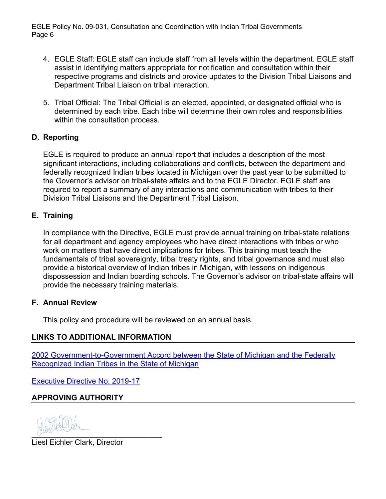- 4. EGLE Staff: EGLE staff can include staff from all levels within the department. EGLE staff assist in identifying matters appropriate for notification and consultation within their respective programs and districts and provide updates to the Division Tribal Liaisons and Department Tribal Liaison on tribal interaction.
- 5. Tribal Official: The Tribal Official is an elected, appointed, or designated official who is determined by each tribe. Each tribe will determine their own roles and responsibilities within the consultation process.

## **D. Reporting**

EGLE is required to produce an annual report that includes a description of the most significant interactions, including collaborations and conflicts, between the department and federally recognized Indian tribes located in Michigan over the past year to be submitted to the Governor's advisor on tribal-state affairs and to the EGLE Director. EGLE staff are required to report a summary of any interactions and communication with tribes to their Division Tribal Liaisons and the Department Tribal Liaison.

## **E. Training**

In compliance with the Directive, EGLE must provide annual training on tribal-state relations for all department and agency employees who have direct interactions with tribes or who work on matters that have direct implications for tribes. This training must teach the fundamentals of tribal sovereignty, tribal treaty rights, and tribal governance and must also provide a historical overview of Indian tribes in Michigan, with lessons on indigenous dispossession and Indian boarding schools. The Governor's advisor on tribal-state affairs will provide the necessary training materials.

## **F. Annual Review**

This policy and procedure will be reviewed on an annual basis.

## **LINKS TO ADDITIONAL INFORMATION**

[2002 Government-to-Government Accord between the State of Michigan and the Federally](https://www.michigan.gov/documents/Accordfinal_53478_7.pdf)  [Recognized Indian Tribes in the State of Michigan](https://www.michigan.gov/documents/Accordfinal_53478_7.pdf)

[Executive Directive No. 2019-17](https://www.michigan.gov/whitmer/0,9309,7-387-90499_90704-520036--,00.html)

# **APPROVING AUTHORITY**

 $\sqrt{1097}$ 

Liesl Eichler Clark, Director